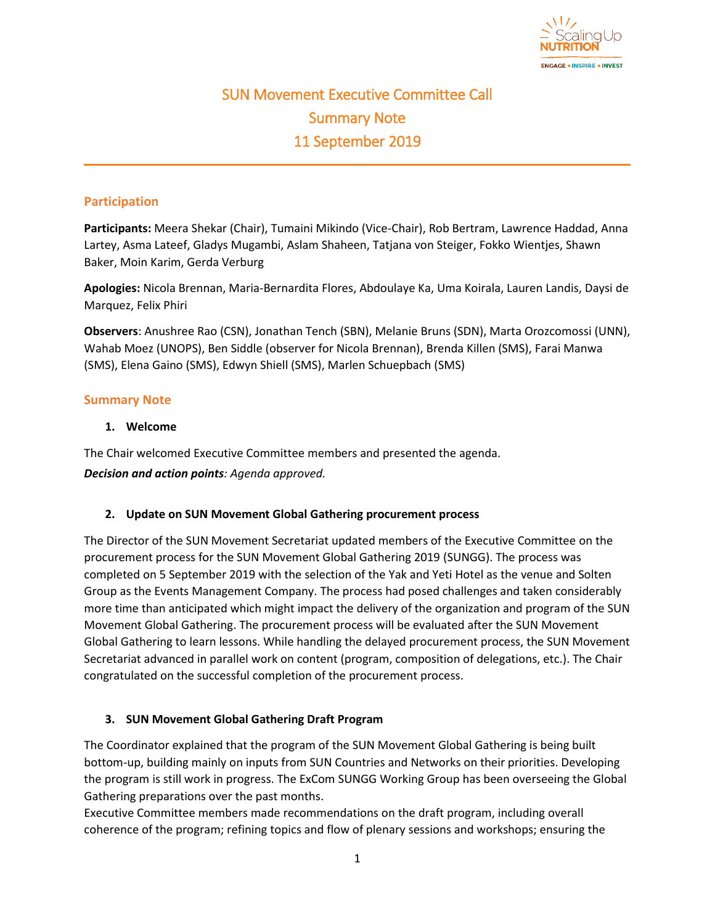

# SUN Movement Executive Committee Call Summary Note 11 September 2019

# **Participation**

**Participants:** Meera Shekar (Chair), Tumaini Mikindo (Vice-Chair), Rob Bertram, Lawrence Haddad, Anna Lartey, Asma Lateef, Gladys Mugambi, Aslam Shaheen, Tatjana von Steiger, Fokko Wientjes, Shawn Baker, Moin Karim, Gerda Verburg

**Apologies:** Nicola Brennan, Maria-Bernardita Flores, Abdoulaye Ka, Uma Koirala, Lauren Landis, Daysi de Marquez, Felix Phiri

**Observers**: Anushree Rao (CSN), Jonathan Tench (SBN), Melanie Bruns (SDN), Marta Orozcomossi (UNN), Wahab Moez (UNOPS), Ben Siddle (observer for Nicola Brennan), Brenda Killen (SMS), Farai Manwa (SMS), Elena Gaino (SMS), Edwyn Shiell (SMS), Marlen Schuepbach (SMS)

## **Summary Note**

## **1. Welcome**

The Chair welcomed Executive Committee members and presented the agenda. *Decision and action points: Agenda approved.*

## **2. Update on SUN Movement Global Gathering procurement process**

The Director of the SUN Movement Secretariat updated members of the Executive Committee on the procurement process for the SUN Movement Global Gathering 2019 (SUNGG). The process was completed on 5 September 2019 with the selection of the Yak and Yeti Hotel as the venue and Solten Group as the Events Management Company. The process had posed challenges and taken considerably more time than anticipated which might impact the delivery of the organization and program of the SUN Movement Global Gathering. The procurement process will be evaluated after the SUN Movement Global Gathering to learn lessons. While handling the delayed procurement process, the SUN Movement Secretariat advanced in parallel work on content (program, composition of delegations, etc.). The Chair congratulated on the successful completion of the procurement process.

# **3. SUN Movement Global Gathering Draft Program**

The Coordinator explained that the program of the SUN Movement Global Gathering is being built bottom-up, building mainly on inputs from SUN Countries and Networks on their priorities. Developing the program is still work in progress. The ExCom SUNGG Working Group has been overseeing the Global Gathering preparations over the past months.

Executive Committee members made recommendations on the draft program, including overall coherence of the program; refining topics and flow of plenary sessions and workshops; ensuring the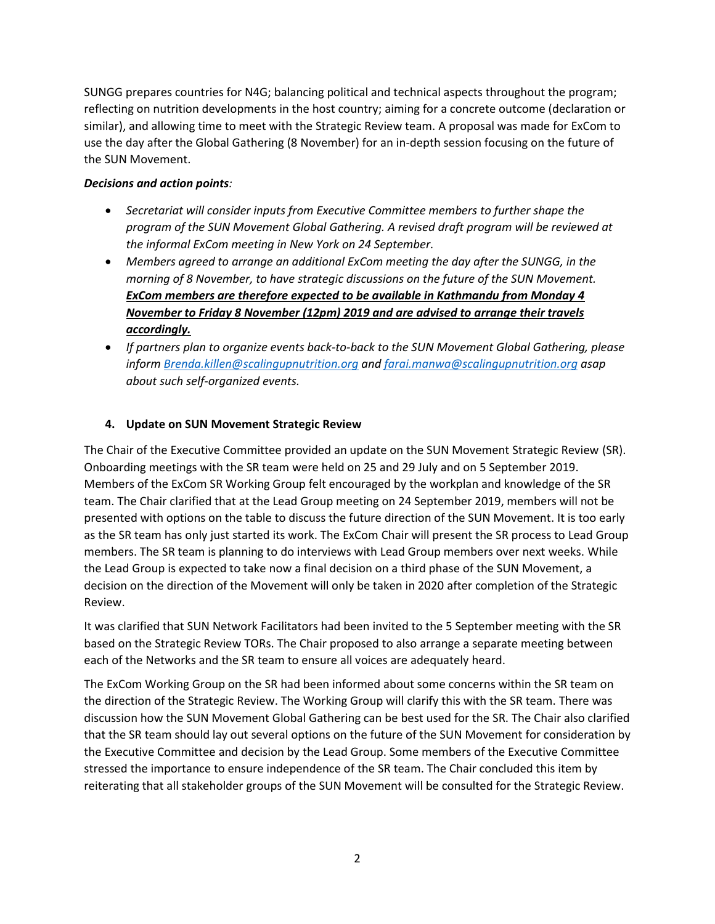SUNGG prepares countries for N4G; balancing political and technical aspects throughout the program; reflecting on nutrition developments in the host country; aiming for a concrete outcome (declaration or similar), and allowing time to meet with the Strategic Review team. A proposal was made for ExCom to use the day after the Global Gathering (8 November) for an in-depth session focusing on the future of the SUN Movement.

## *Decisions and action points:*

- *Secretariat will consider inputs from Executive Committee members to further shape the program of the SUN Movement Global Gathering. A revised draft program will be reviewed at the informal ExCom meeting in New York on 24 September.*
- *Members agreed to arrange an additional ExCom meeting the day after the SUNGG, in the morning of 8 November, to have strategic discussions on the future of the SUN Movement. ExCom members are therefore expected to be available in Kathmandu from Monday 4 November to Friday 8 November (12pm) 2019 and are advised to arrange their travels accordingly.*
- *If partners plan to organize events back-to-back to the SUN Movement Global Gathering, please inform [Brenda.killen@scalingupnutrition.org](mailto:Brenda.killen@scalingupnutrition.org) and [farai.manwa@scalingupnutrition.org](mailto:farai.manwa@scalingupnutrition.org) asap about such self-organized events.*

# **4. Update on SUN Movement Strategic Review**

The Chair of the Executive Committee provided an update on the SUN Movement Strategic Review (SR). Onboarding meetings with the SR team were held on 25 and 29 July and on 5 September 2019. Members of the ExCom SR Working Group felt encouraged by the workplan and knowledge of the SR team. The Chair clarified that at the Lead Group meeting on 24 September 2019, members will not be presented with options on the table to discuss the future direction of the SUN Movement. It is too early as the SR team has only just started its work. The ExCom Chair will present the SR process to Lead Group members. The SR team is planning to do interviews with Lead Group members over next weeks. While the Lead Group is expected to take now a final decision on a third phase of the SUN Movement, a decision on the direction of the Movement will only be taken in 2020 after completion of the Strategic Review.

It was clarified that SUN Network Facilitators had been invited to the 5 September meeting with the SR based on the Strategic Review TORs. The Chair proposed to also arrange a separate meeting between each of the Networks and the SR team to ensure all voices are adequately heard.

The ExCom Working Group on the SR had been informed about some concerns within the SR team on the direction of the Strategic Review. The Working Group will clarify this with the SR team. There was discussion how the SUN Movement Global Gathering can be best used for the SR. The Chair also clarified that the SR team should lay out several options on the future of the SUN Movement for consideration by the Executive Committee and decision by the Lead Group. Some members of the Executive Committee stressed the importance to ensure independence of the SR team. The Chair concluded this item by reiterating that all stakeholder groups of the SUN Movement will be consulted for the Strategic Review.